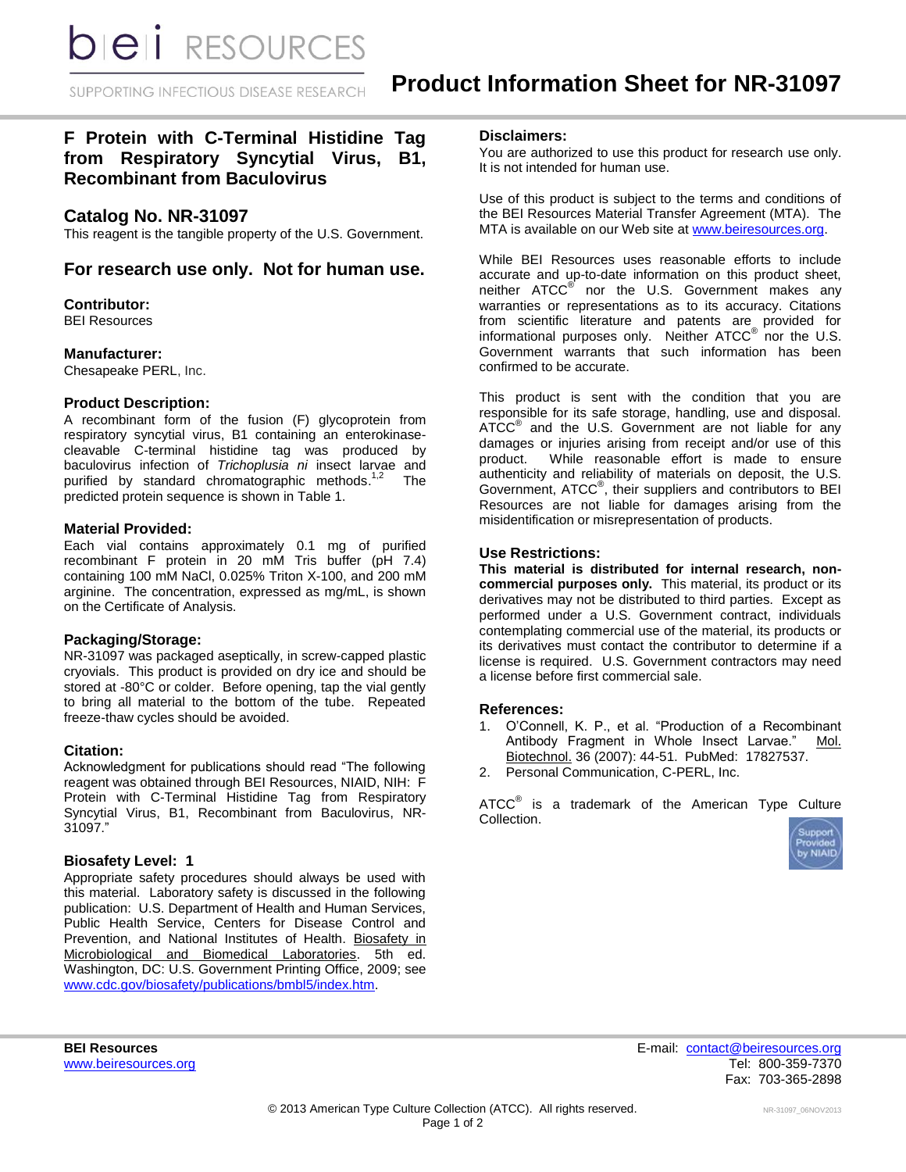SUPPORTING INFECTIOUS DISEASE RESEARCH

# **F Protein with C-Terminal Histidine Tag from Respiratory Syncytial Virus, B1, Recombinant from Baculovirus**

## **Catalog No. NR-31097**

This reagent is the tangible property of the U.S. Government.

## **For research use only. Not for human use.**

## **Contributor:**

BEI Resources

## **Manufacturer:**

Chesapeake PERL, Inc.

## **Product Description:**

A recombinant form of the fusion (F) glycoprotein from respiratory syncytial virus, B1 containing an enterokinasecleavable C-terminal histidine tag was produced by baculovirus infection of *Trichoplusia ni* insect larvae and purified by standard chromatographic methods.<sup>1</sup> The predicted protein sequence is shown in Table 1.

## **Material Provided:**

Each vial contains approximately 0.1 mg of purified recombinant F protein in 20 mM Tris buffer (pH 7.4) containing 100 mM NaCl, 0.025% Triton X-100, and 200 mM arginine. The concentration, expressed as mg/mL, is shown on the Certificate of Analysis.

## **Packaging/Storage:**

NR-31097 was packaged aseptically, in screw-capped plastic cryovials. This product is provided on dry ice and should be stored at -80°C or colder. Before opening, tap the vial gently to bring all material to the bottom of the tube. Repeated freeze-thaw cycles should be avoided.

## **Citation:**

Acknowledgment for publications should read "The following reagent was obtained through BEI Resources, NIAID, NIH: F Protein with C-Terminal Histidine Tag from Respiratory Syncytial Virus, B1, Recombinant from Baculovirus, NR-31097."

## **Biosafety Level: 1**

Appropriate safety procedures should always be used with this material. Laboratory safety is discussed in the following publication: U.S. Department of Health and Human Services, Public Health Service, Centers for Disease Control and Prevention, and National Institutes of Health. Biosafety in Microbiological and Biomedical Laboratories. 5th ed. Washington, DC: U.S. Government Printing Office, 2009; see [www.cdc.gov/biosafety/publications/bmbl5/index.htm.](http://www.cdc.gov/biosafety/publications/bmbl5/index.htm)

#### **Disclaimers:**

You are authorized to use this product for research use only. It is not intended for human use.

Use of this product is subject to the terms and conditions of the BEI Resources Material Transfer Agreement (MTA). The MTA is available on our Web site at [www.beiresources.org.](http://www.beiresources.org/)

While BEI Resources uses reasonable efforts to include accurate and up-to-date information on this product sheet, neither ATCC<sup>®</sup> nor the U.S. Government makes any warranties or representations as to its accuracy. Citations from scientific literature and patents are provided for informational purposes only. Neither  $\tt{ATCC}^{\circledR}$  nor the U.S. Government warrants that such information has been confirmed to be accurate.

This product is sent with the condition that you are responsible for its safe storage, handling, use and disposal. ATCC<sup>®</sup> and the U.S. Government are not liable for any damages or injuries arising from receipt and/or use of this product. While reasonable effort is made to ensure While reasonable effort is made to ensure authenticity and reliability of materials on deposit, the U.S. Government, ATCC® , their suppliers and contributors to BEI Resources are not liable for damages arising from the misidentification or misrepresentation of products.

## **Use Restrictions:**

**This material is distributed for internal research, noncommercial purposes only.** This material, its product or its derivatives may not be distributed to third parties. Except as performed under a U.S. Government contract, individuals contemplating commercial use of the material, its products or its derivatives must contact the contributor to determine if a license is required. U.S. Government contractors may need a license before first commercial sale.

## **References:**

- 1. O'Connell, K. P., et al. "Production of a Recombinant Antibody Fragment in Whole Insect Larvae." Mol. Biotechnol. 36 (2007): 44-51. PubMed: 17827537.
- 2. Personal Communication, C-PERL, Inc.

ATCC $^{\circ}$  is a trademark of the American Type Culture Collection.